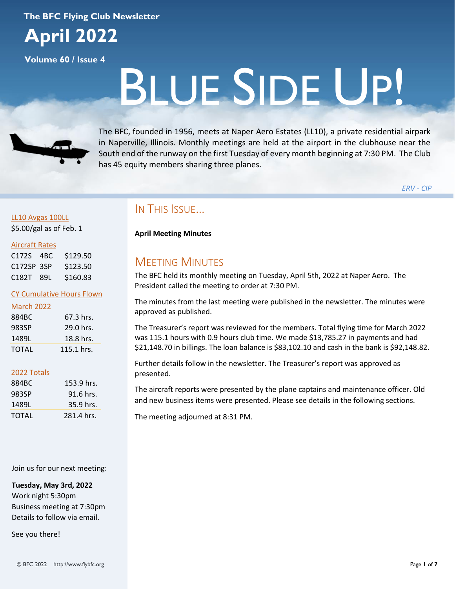### **The BFC Flying Club Newsletter**



**Volume 60 / Issue 4**

# BLUE SIDE UP!



The BFC, founded in 1956, meets at Naper Aero Estates (LL10), a private residential airpark in Naperville, Illinois. Monthly meetings are held at the airport in the clubhouse near the South end of the runway on the first Tuesday of every month beginning at 7:30 PM. The Club has 45 equity members sharing three planes.

*ERV - CIP*

### LL10 Avgas 100LL \$5.00/gal as of Feb. 1

### Aircraft Rates

| C172S 4BC  | \$129.50 |
|------------|----------|
| C172SP 3SP | \$123.50 |
| C182T 89L  | \$160.83 |

### CY Cumulative Hours Flown

| <b>March 2022</b> |            |
|-------------------|------------|
| 884BC             | 67.3 hrs.  |
| 983SP             | 29.0 hrs.  |
| 1489L             | 18.8 hrs.  |
| ΤΩΤΑΙ             | 115.1 hrs. |

### 2022 Totals

| 884BC | 153.9 hrs. |
|-------|------------|
| 983SP | 91.6 hrs.  |
| 1489L | 35.9 hrs.  |
| TOTAL | 281.4 hrs. |

### Join us for our next meeting:

**Tuesday, May 3rd, 2022** Work night 5:30pm Business meeting at 7:30pm Details to follow via email.

See you there!

© BFC 2022 http://www.flybfc.org Page **1** of **7**

# IN THIS ISSUE…

**April Meeting Minutes**

# MEETING MINUTES

The BFC held its monthly meeting on Tuesday, April 5th, 2022 at Naper Aero. The President called the meeting to order at 7:30 PM.

The minutes from the last meeting were published in the newsletter. The minutes were approved as published.

The Treasurer's report was reviewed for the members. Total flying time for March 2022 was 115.1 hours with 0.9 hours club time. We made \$13,785.27 in payments and had \$21,148.70 in billings. The loan balance is \$83,102.10 and cash in the bank is \$92,148.82.

Further details follow in the newsletter. The Treasurer's report was approved as presented.

The aircraft reports were presented by the plane captains and maintenance officer. Old and new business items were presented. Please see details in the following sections.

The meeting adjourned at 8:31 PM.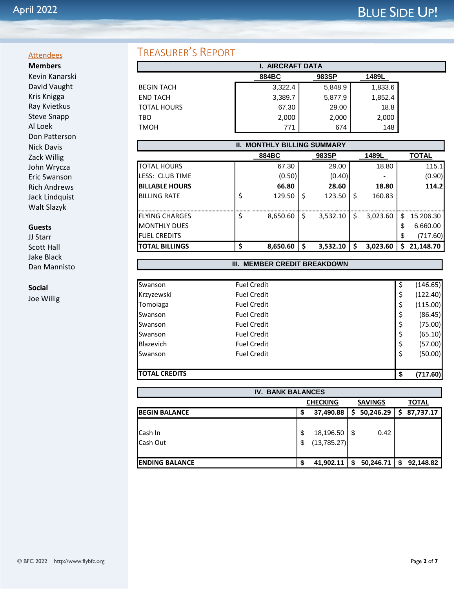### **Attendees Members**

Kevin Kanarski David Vaught Kris Knigga Ray Kvietkus Steve Snapp Al Loek Don Patterson Nick Davis Zack Willig John Wrycza Eric Swanson Rich Andrews Jack Lindquist Walt Slazyk

### **Guests**

JJ Starr Scott Hall Jake Black Dan Mannisto

### **Social**

Joe Willig

# TREASURER'S REPORT

| <b>AIRCRAFT DATA</b> |         |         |         |
|----------------------|---------|---------|---------|
|                      | 884BC   | 983SP   | 1489L   |
| <b>BEGIN TACH</b>    | 3,322.4 | 5,848.9 | 1,833.6 |
| <b>END TACH</b>      | 3,389.7 | 5,877.9 | 1,852.4 |
| <b>TOTAL HOURS</b>   | 67.30   | 29.00   | 18.8    |
| TBO                  | 2,000   | 2,000   | 2,000   |
| TMOH                 | 771     | 674     | 148     |

| <b>II. MONTHLY BILLING SUMMARY</b> |   |          |    |          |   |          |                 |
|------------------------------------|---|----------|----|----------|---|----------|-----------------|
|                                    |   | 884BC    |    | 983SP    |   | 1489L    | TOTAL           |
| <b>TOTAL HOURS</b>                 |   | 67.30    |    | 29.00    |   | 18.80    | 115.1           |
| <b>ILESS: CLUB TIME</b>            |   | (0.50)   |    | (0.40)   |   |          | (0.90)          |
| <b>IBILLABLE HOURS</b>             |   | 66.80    |    | 28.60    |   | 18.80    | 114.2           |
| <b>BILLING RATE</b>                |   | 129.50   | Ś  | 123.50   | Ś | 160.83   |                 |
|                                    |   |          |    |          |   |          |                 |
| <b>I</b> FLYING CHARGES            | S | 8,650.60 | \$ | 3.532.10 | Ś | 3.023.60 | \$<br>15,206.30 |
| <b>I</b> MONTHLY DUES              |   |          |    |          |   |          | \$<br>6,660.00  |
| <b>IFUEL CREDITS</b>               |   |          |    |          |   |          | \$<br>(717.60)  |
| <b>ITOTAL BILLINGS</b>             | Ś | 8,650.60 | \$ | 3,532.10 | S | 3,023.60 | \$<br>21,148.70 |

### **III. MEMBER CREDIT BREAKDOWN**

| <b>TOTAL CREDITS</b> |                    | - \$ | (717.60) |
|----------------------|--------------------|------|----------|
| Swanson              | <b>Fuel Credit</b> | \$   | (50.00)  |
|                      |                    | \$   |          |
| <b>Blazevich</b>     | <b>Fuel Credit</b> |      | (57.00)  |
| Swanson              | <b>Fuel Credit</b> | \$   | (65.10)  |
| Swanson              | <b>Fuel Credit</b> | \$   | (75.00)  |
| Swanson              | <b>Fuel Credit</b> | \$   | (86.45)  |
| Tomoiaga             | <b>Fuel Credit</b> | \$   | (115.00) |
| Krzyzewski           | <b>Fuel Credit</b> | \$   | (122.40) |
| Swanson              | <b>Fuel Credit</b> | \$   | (146.65) |

| <b>IV. BANK BALANCES</b>                          |    |                  |                |                  |  |  |  |
|---------------------------------------------------|----|------------------|----------------|------------------|--|--|--|
| <b>SAVINGS</b><br><b>CHECKING</b><br><b>TOTAL</b> |    |                  |                |                  |  |  |  |
| <b>BEGIN BALANCE</b>                              | \$ | 37,490.88        | 50,246.29<br>S | 87,737.17<br>\$. |  |  |  |
|                                                   |    |                  |                |                  |  |  |  |
| Cash In                                           | \$ | $18,196.50$ \ \$ | 0.42           |                  |  |  |  |
| Cash Out                                          | S  | (13,785.27)      |                |                  |  |  |  |
|                                                   |    |                  |                |                  |  |  |  |
| <b>ENDING BALANCE</b>                             | \$ | 41,902.11        | 50,246.71<br>S | 92,148.82<br>\$  |  |  |  |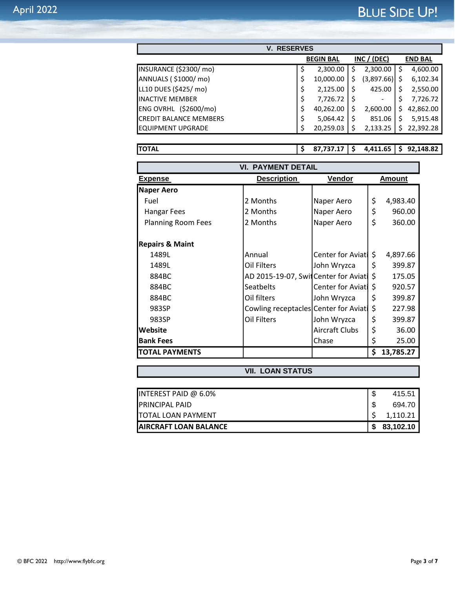| <b>RESERVES</b><br>V.            |    |                  |  |             |     |                |
|----------------------------------|----|------------------|--|-------------|-----|----------------|
|                                  |    | <b>BEGIN BAL</b> |  | INC / (DEC) |     | <b>END BAL</b> |
| INSURANCE (\$2300/mo)            | \$ | 2,300.00         |  | 2,300.00    | -\$ | 4,600.00       |
| ANNUALS (\$1000/mo)              | \$ | 10,000.00        |  | (3,897.66)  |     | 6,102.34       |
| LL10 DUES (\$425/ mo)            | \$ | 2,125.00         |  | 425.00      |     | 2,550.00       |
| <b>INACTIVE MEMBER</b>           | \$ | 7,726.72         |  | -           |     | 7,726.72       |
| (\$2600/mol)<br><b>ENG OVRHL</b> | \$ | 40,262.00        |  | 2,600.00    |     | 42,862.00      |
| <b>CREDIT BALANCE MEMBERS</b>    | \$ | 5,064.42         |  | 851.06      |     | 5,915.48       |
| IEQUIPMENT UPGRADE               | S  | 20,259.03        |  | 2,133.25    |     | 22,392.28      |

**TOTAL \$ 87,737.17 \$ 4,411.65 \$ 92,148.82**

| <b>VI. PAYMENT DETAIL</b>  |                                       |                          |    |           |  |
|----------------------------|---------------------------------------|--------------------------|----|-----------|--|
| Expense                    | Vendor<br><b>Description</b>          |                          |    | Amount    |  |
| Naper Aero                 |                                       |                          |    |           |  |
| Fuel                       | 2 Months                              | Naper Aero               | \$ | 4,983.40  |  |
| <b>Hangar Fees</b>         | 2 Months                              | Naper Aero               | \$ | 960.00    |  |
| <b>Planning Room Fees</b>  | 2 Months                              | Naper Aero               | \$ | 360.00    |  |
|                            |                                       |                          |    |           |  |
| <b>Repairs &amp; Maint</b> |                                       |                          |    |           |  |
| 1489L                      | Annual                                | Center for Aviati        | \$ | 4,897.66  |  |
| 1489L                      | Oil Filters                           | John Wryzca              | \$ | 399.87    |  |
| 884BC                      | AD 2015-19-07, Switcenter for Aviat   |                          | \$ | 175.05    |  |
| 884BC                      | <b>Seatbelts</b>                      | <b>Center for Aviati</b> | \$ | 920.57    |  |
| 884BC                      | Oil filters                           | John Wryzca              | \$ | 399.87    |  |
| 983SP                      | Cowling receptacles Center for Aviati |                          | \$ | 227.98    |  |
| 983SP                      | Oil Filters                           | John Wryzca              | \$ | 399.87    |  |
| Website                    |                                       | Aircraft Clubs           | \$ | 36.00     |  |
| <b>Bank Fees</b>           |                                       | Chase                    | \$ | 25.00     |  |
| <b>TOTAL PAYMENTS</b>      |                                       |                          | \$ | 13,785.27 |  |

### **VII. LOAN STATUS**

| AIRCRAFT LOAN BALANCE   | S | 83,102.10 |
|-------------------------|---|-----------|
| TOTAL LOAN PAYMENT      |   | 1.110.21  |
| PRINCIPAL PAID          |   | 694.70    |
| INTEREST PAID @ $6.0\%$ |   | 415.51    |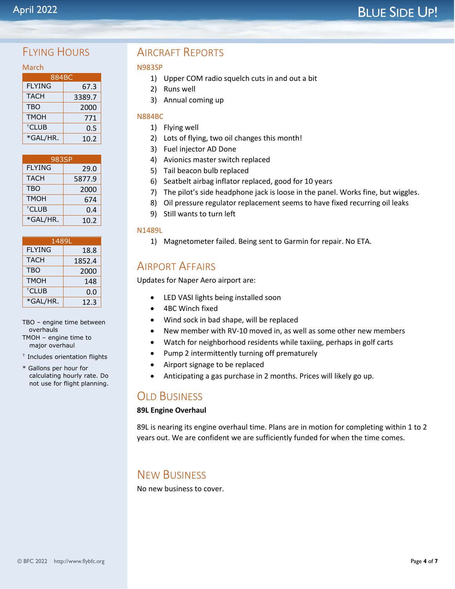# BLUE SIDE UP!

# FIYING HOURS

| 884BC             |        |  |  |  |  |
|-------------------|--------|--|--|--|--|
| <b>FLYING</b>     | 67.3   |  |  |  |  |
| <b>TACH</b>       | 3389.7 |  |  |  |  |
| <b>TBO</b>        | 2000   |  |  |  |  |
| <b>TMOH</b>       | 771    |  |  |  |  |
| <sup>†</sup> CLUB | 0.5    |  |  |  |  |
| *GAL/HR.          | 10.2   |  |  |  |  |

| 983SP             |        |  |
|-------------------|--------|--|
| <b>FLYING</b>     | 29.0   |  |
| <b>TACH</b>       | 5877.9 |  |
| <b>TBO</b>        | 2000   |  |
| <b>TMOH</b>       | 674    |  |
| <sup>†</sup> CLUB | 0.4    |  |
| *GAL/HR.          | 10.2   |  |

| 1489L             |        |  |  |
|-------------------|--------|--|--|
| <b>FLYING</b>     | 18.8   |  |  |
| <b>TACH</b>       | 1852.4 |  |  |
| <b>TBO</b>        | 2000   |  |  |
| <b>TMOH</b>       | 148    |  |  |
| <sup>†</sup> CLUB | 0.0    |  |  |
| *GAL/HR.          | 12.3   |  |  |

TBO – engine time between overhauls TMOH – engine time to major overhaul

† Includes orientation flights

\* Gallons per hour for calculating hourly rate. Do not use for flight planning.

# AIRCRAFT REPORTS

### N983SP

- 1) Upper COM radio squelch cuts in and out a bit
- 2) Runs well
- 3) Annual coming up

### N884BC

- 1) Flying well
- 2) Lots of flying, two oil changes this month!
- 3) Fuel injector AD Done
- 4) Avionics master switch replaced
- 5) Tail beacon bulb replaced
- 6) Seatbelt airbag inflator replaced, good for 10 years
- 7) The pilot's side headphone jack is loose in the panel. Works fine, but wiggles.
- 8) Oil pressure regulator replacement seems to have fixed recurring oil leaks
- 9) Still wants to turn left

### N1489L

1) Magnetometer failed. Being sent to Garmin for repair. No ETA.

# AIRPORT AFFAIRS

Updates for Naper Aero airport are:

- LED VASI lights being installed soon
- 4BC Winch fixed
- Wind sock in bad shape, will be replaced
- New member with RV-10 moved in, as well as some other new members
- Watch for neighborhood residents while taxiing, perhaps in golf carts
- Pump 2 intermittently turning off prematurely
- Airport signage to be replaced
- Anticipating a gas purchase in 2 months. Prices will likely go up.

# **OLD BUSINESS**

### **89L Engine Overhaul**

89L is nearing its engine overhaul time. Plans are in motion for completing within 1 to 2 years out. We are confident we are sufficiently funded for when the time comes.

# NEW BUSINESS

No new business to cover.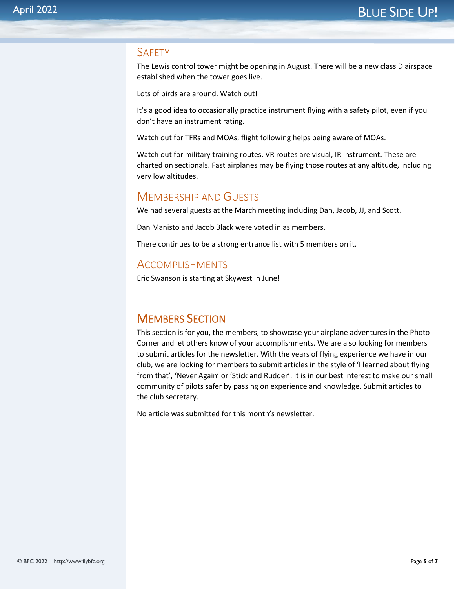## **SAFFTY**

The Lewis control tower might be opening in August. There will be a new class D airspace established when the tower goes live.

Lots of birds are around. Watch out!

It's a good idea to occasionally practice instrument flying with a safety pilot, even if you don't have an instrument rating.

Watch out for TFRs and MOAs; flight following helps being aware of MOAs.

Watch out for military training routes. VR routes are visual, IR instrument. These are charted on sectionals. Fast airplanes may be flying those routes at any altitude, including very low altitudes.

# MEMBERSHIP AND GUESTS

We had several guests at the March meeting including Dan, Jacob, JJ, and Scott.

Dan Manisto and Jacob Black were voted in as members.

There continues to be a strong entrance list with 5 members on it.

## ACCOMPLISHMENTS

Eric Swanson is starting at Skywest in June!

# MEMBERS SECTION

This section is for you, the members, to showcase your airplane adventures in the Photo Corner and let others know of your accomplishments. We are also looking for members to submit articles for the newsletter. With the years of flying experience we have in our club, we are looking for members to submit articles in the style of 'I learned about flying from that', 'Never Again' or 'Stick and Rudder'. It is in our best interest to make our small community of pilots safer by passing on experience and knowledge. Submit articles to the club secretary.

No article was submitted for this month's newsletter.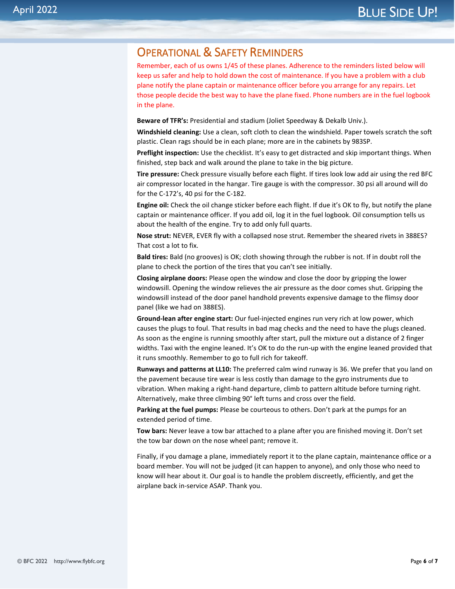# OPERATIONAL & SAFETY REMINDERS

Remember, each of us owns 1/45 of these planes. Adherence to the reminders listed below will keep us safer and help to hold down the cost of maintenance. If you have a problem with a club plane notify the plane captain or maintenance officer before you arrange for any repairs. Let those people decide the best way to have the plane fixed. Phone numbers are in the fuel logbook in the plane.

**Beware of TFR's:** Presidential and stadium (Joliet Speedway & Dekalb Univ.).

**Windshield cleaning:** Use a clean, soft cloth to clean the windshield. Paper towels scratch the soft plastic. Clean rags should be in each plane; more are in the cabinets by 983SP.

**Preflight inspection:** Use the checklist. It's easy to get distracted and skip important things. When finished, step back and walk around the plane to take in the big picture.

**Tire pressure:** Check pressure visually before each flight. If tires look low add air using the red BFC air compressor located in the hangar. Tire gauge is with the compressor. 30 psi all around will do for the C-172's, 40 psi for the C-182.

**Engine oil:** Check the oil change sticker before each flight. If due it's OK to fly, but notify the plane captain or maintenance officer. If you add oil, log it in the fuel logbook. Oil consumption tells us about the health of the engine. Try to add only full quarts.

**Nose strut:** NEVER, EVER fly with a collapsed nose strut. Remember the sheared rivets in 388ES? That cost a lot to fix.

**Bald tires:** Bald (no grooves) is OK; cloth showing through the rubber is not. If in doubt roll the plane to check the portion of the tires that you can't see initially.

**Closing airplane doors:** Please open the window and close the door by gripping the lower windowsill. Opening the window relieves the air pressure as the door comes shut. Gripping the windowsill instead of the door panel handhold prevents expensive damage to the flimsy door panel (like we had on 388ES).

**Ground-lean after engine start:** Our fuel-injected engines run very rich at low power, which causes the plugs to foul. That results in bad mag checks and the need to have the plugs cleaned. As soon as the engine is running smoothly after start, pull the mixture out a distance of 2 finger widths. Taxi with the engine leaned. It's OK to do the run-up with the engine leaned provided that it runs smoothly. Remember to go to full rich for takeoff.

**Runways and patterns at LL10:** The preferred calm wind runway is 36. We prefer that you land on the pavement because tire wear is less costly than damage to the gyro instruments due to vibration. When making a right-hand departure, climb to pattern altitude before turning right. Alternatively, make three climbing 90° left turns and cross over the field.

**Parking at the fuel pumps:** Please be courteous to others. Don't park at the pumps for an extended period of time.

**Tow bars:** Never leave a tow bar attached to a plane after you are finished moving it. Don't set the tow bar down on the nose wheel pant; remove it.

Finally, if you damage a plane, immediately report it to the plane captain, maintenance office or a board member. You will not be judged (it can happen to anyone), and only those who need to know will hear about it. Our goal is to handle the problem discreetly, efficiently, and get the airplane back in-service ASAP. Thank you.